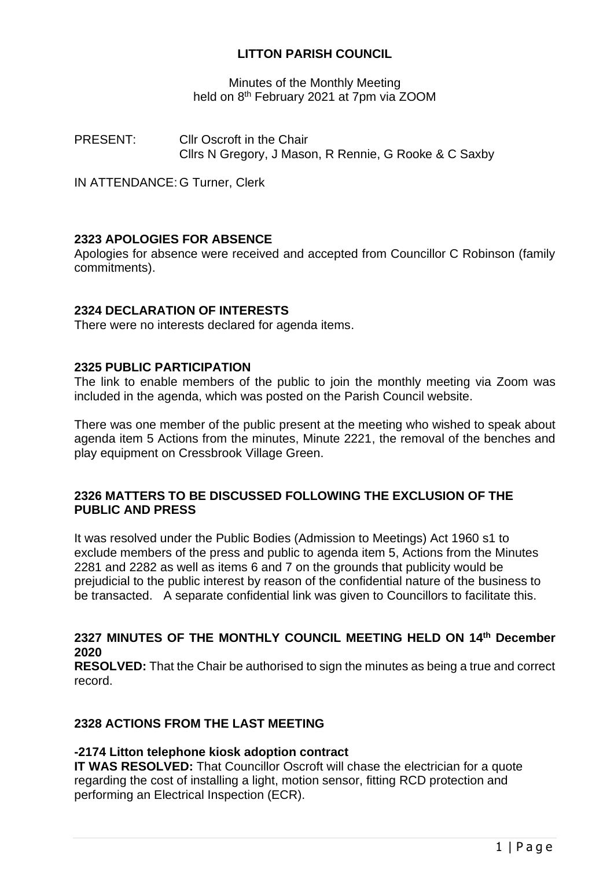# **LITTON PARISH COUNCIL**

Minutes of the Monthly Meeting held on 8<sup>th</sup> February 2021 at 7pm via ZOOM

PRESENT: Cllr Oscroft in the Chair Cllrs N Gregory, J Mason, R Rennie, G Rooke & C Saxby

IN ATTENDANCE: G Turner, Clerk

### **2323 APOLOGIES FOR ABSENCE**

Apologies for absence were received and accepted from Councillor C Robinson (family commitments).

### **2324 DECLARATION OF INTERESTS**

There were no interests declared for agenda items.

### **2325 PUBLIC PARTICIPATION**

The link to enable members of the public to join the monthly meeting via Zoom was included in the agenda, which was posted on the Parish Council website.

There was one member of the public present at the meeting who wished to speak about agenda item 5 Actions from the minutes, Minute 2221, the removal of the benches and play equipment on Cressbrook Village Green.

# **2326 MATTERS TO BE DISCUSSED FOLLOWING THE EXCLUSION OF THE PUBLIC AND PRESS**

It was resolved under the Public Bodies (Admission to Meetings) Act 1960 s1 to exclude members of the press and public to agenda item 5, Actions from the Minutes 2281 and 2282 as well as items 6 and 7 on the grounds that publicity would be prejudicial to the public interest by reason of the confidential nature of the business to be transacted. A separate confidential link was given to Councillors to facilitate this.

# **2327 MINUTES OF THE MONTHLY COUNCIL MEETING HELD ON 14 th December 2020**

**RESOLVED:** That the Chair be authorised to sign the minutes as being a true and correct record.

## **2328 ACTIONS FROM THE LAST MEETING**

#### **-2174 Litton telephone kiosk adoption contract**

**IT WAS RESOLVED:** That Councillor Oscroft will chase the electrician for a quote regarding the cost of installing a light, motion sensor, fitting RCD protection and performing an Electrical Inspection (ECR).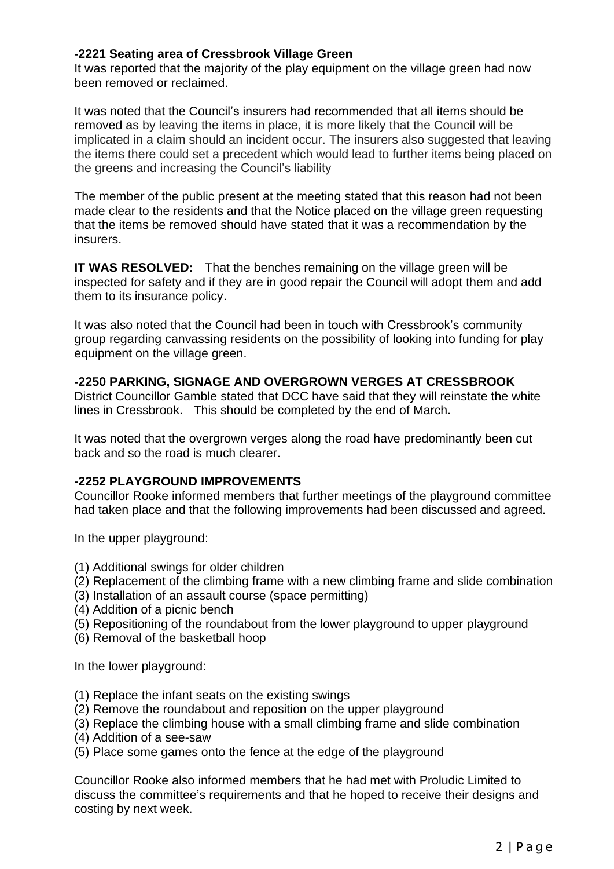### **-2221 Seating area of Cressbrook Village Green**

It was reported that the majority of the play equipment on the village green had now been removed or reclaimed.

It was noted that the Council's insurers had recommended that all items should be removed as by leaving the items in place, it is more likely that the Council will be implicated in a claim should an incident occur. The insurers also suggested that leaving the items there could set a precedent which would lead to further items being placed on the greens and increasing the Council's liability

The member of the public present at the meeting stated that this reason had not been made clear to the residents and that the Notice placed on the village green requesting that the items be removed should have stated that it was a recommendation by the insurers.

**IT WAS RESOLVED:** That the benches remaining on the village green will be inspected for safety and if they are in good repair the Council will adopt them and add them to its insurance policy.

It was also noted that the Council had been in touch with Cressbrook's community group regarding canvassing residents on the possibility of looking into funding for play equipment on the village green.

### **-2250 PARKING, SIGNAGE AND OVERGROWN VERGES AT CRESSBROOK**

District Councillor Gamble stated that DCC have said that they will reinstate the white lines in Cressbrook. This should be completed by the end of March.

It was noted that the overgrown verges along the road have predominantly been cut back and so the road is much clearer.

### **-2252 PLAYGROUND IMPROVEMENTS**

Councillor Rooke informed members that further meetings of the playground committee had taken place and that the following improvements had been discussed and agreed.

In the upper playground:

- (1) Additional swings for older children
- (2) Replacement of the climbing frame with a new climbing frame and slide combination
- (3) Installation of an assault course (space permitting)
- (4) Addition of a picnic bench
- (5) Repositioning of the roundabout from the lower playground to upper playground
- (6) Removal of the basketball hoop

In the lower playground:

- (1) Replace the infant seats on the existing swings
- (2) Remove the roundabout and reposition on the upper playground
- (3) Replace the climbing house with a small climbing frame and slide combination
- (4) Addition of a see-saw
- (5) Place some games onto the fence at the edge of the playground

Councillor Rooke also informed members that he had met with Proludic Limited to discuss the committee's requirements and that he hoped to receive their designs and costing by next week.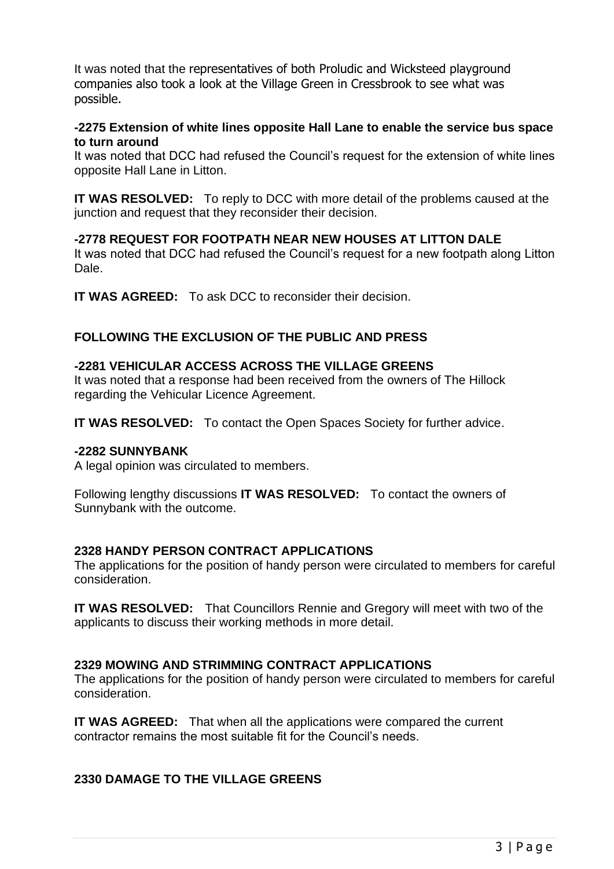It was noted that the representatives of both Proludic and Wicksteed playground companies also took a look at the Village Green in Cressbrook to see what was possible.

### **-2275 Extension of white lines opposite Hall Lane to enable the service bus space to turn around**

It was noted that DCC had refused the Council's request for the extension of white lines opposite Hall Lane in Litton.

**IT WAS RESOLVED:** To reply to DCC with more detail of the problems caused at the junction and request that they reconsider their decision.

# **-2778 REQUEST FOR FOOTPATH NEAR NEW HOUSES AT LITTON DALE**

It was noted that DCC had refused the Council's request for a new footpath along Litton Dale.

**IT WAS AGREED:** To ask DCC to reconsider their decision.

# **FOLLOWING THE EXCLUSION OF THE PUBLIC AND PRESS**

# **-2281 VEHICULAR ACCESS ACROSS THE VILLAGE GREENS**

It was noted that a response had been received from the owners of The Hillock regarding the Vehicular Licence Agreement.

**IT WAS RESOLVED:** To contact the Open Spaces Society for further advice.

## **-2282 SUNNYBANK**

A legal opinion was circulated to members.

Following lengthy discussions **IT WAS RESOLVED:** To contact the owners of Sunnybank with the outcome.

### **2328 HANDY PERSON CONTRACT APPLICATIONS**

The applications for the position of handy person were circulated to members for careful consideration.

**IT WAS RESOLVED:** That Councillors Rennie and Gregory will meet with two of the applicants to discuss their working methods in more detail.

### **2329 MOWING AND STRIMMING CONTRACT APPLICATIONS**

The applications for the position of handy person were circulated to members for careful consideration.

**IT WAS AGREED:** That when all the applications were compared the current contractor remains the most suitable fit for the Council's needs.

# **2330 DAMAGE TO THE VILLAGE GREENS**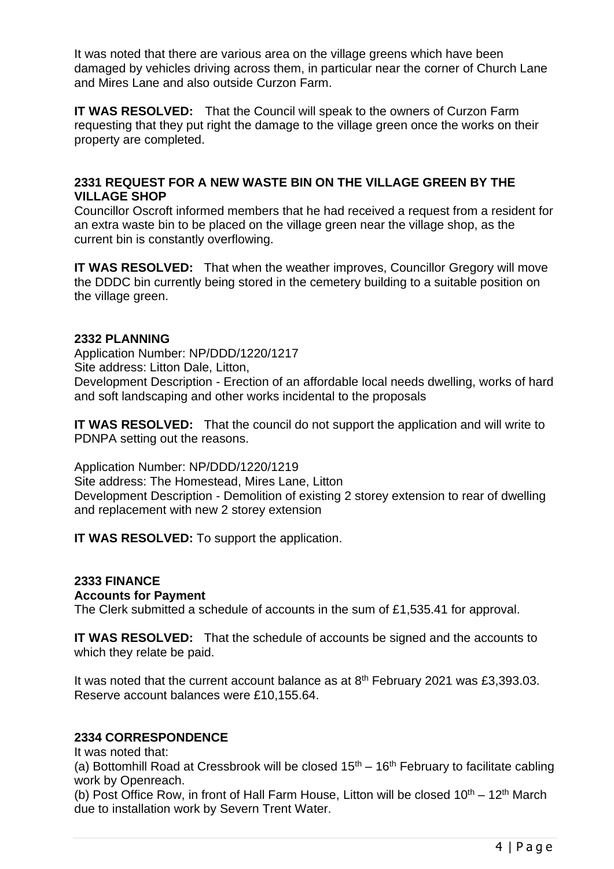It was noted that there are various area on the village greens which have been damaged by vehicles driving across them, in particular near the corner of Church Lane and Mires Lane and also outside Curzon Farm.

**IT WAS RESOLVED:** That the Council will speak to the owners of Curzon Farm requesting that they put right the damage to the village green once the works on their property are completed.

## **2331 REQUEST FOR A NEW WASTE BIN ON THE VILLAGE GREEN BY THE VILLAGE SHOP**

Councillor Oscroft informed members that he had received a request from a resident for an extra waste bin to be placed on the village green near the village shop, as the current bin is constantly overflowing.

**IT WAS RESOLVED:** That when the weather improves, Councillor Gregory will move the DDDC bin currently being stored in the cemetery building to a suitable position on the village green.

### **2332 PLANNING**

Application Number: NP/DDD/1220/1217 Site address: Litton Dale, Litton, Development Description - Erection of an affordable local needs dwelling, works of hard and soft landscaping and other works incidental to the proposals

**IT WAS RESOLVED:** That the council do not support the application and will write to PDNPA setting out the reasons.

Application Number: NP/DDD/1220/1219 Site address: The Homestead, Mires Lane, Litton Development Description - Demolition of existing 2 storey extension to rear of dwelling and replacement with new 2 storey extension

**IT WAS RESOLVED:** To support the application.

# **2333 FINANCE**

#### **Accounts for Payment**

The Clerk submitted a schedule of accounts in the sum of £1,535.41 for approval.

**IT WAS RESOLVED:** That the schedule of accounts be signed and the accounts to which they relate be paid.

It was noted that the current account balance as at  $8<sup>th</sup>$  February 2021 was £3,393.03. Reserve account balances were £10,155.64.

### **2334 CORRESPONDENCE**

It was noted that:

(a) Bottomhill Road at Cressbrook will be closed  $15<sup>th</sup> - 16<sup>th</sup>$  February to facilitate cabling work by Openreach.

(b) Post Office Row, in front of Hall Farm House, Litton will be closed  $10^{th} - 12^{th}$  March due to installation work by Severn Trent Water.